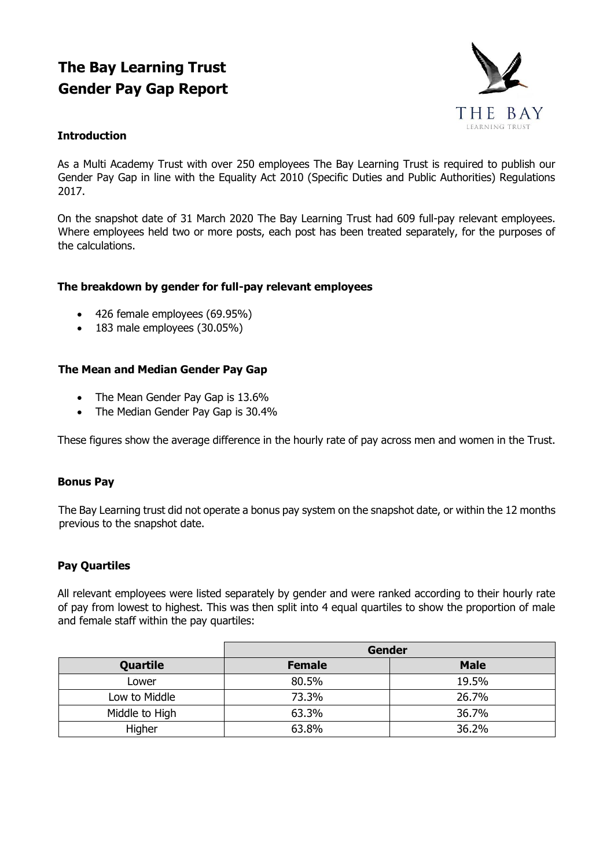# **The Bay Learning Trust Gender Pay Gap Report**



## **Introduction**

As a Multi Academy Trust with over 250 employees The Bay Learning Trust is required to publish our Gender Pay Gap in line with the Equality Act 2010 (Specific Duties and Public Authorities) Regulations 2017.

On the snapshot date of 31 March 2020 The Bay Learning Trust had 609 full-pay relevant employees. Where employees held two or more posts, each post has been treated separately, for the purposes of the calculations.

## **The breakdown by gender for full-pay relevant employees**

- 426 female employees (69.95%)
- 183 male employees (30.05%)

## **The Mean and Median Gender Pay Gap**

- The Mean Gender Pay Gap is 13.6%
- The Median Gender Pay Gap is 30.4%

These figures show the average difference in the hourly rate of pay across men and women in the Trust.

#### **Bonus Pay**

The Bay Learning trust did not operate a bonus pay system on the snapshot date, or within the 12 months previous to the snapshot date.

#### **Pay Quartiles**

All relevant employees were listed separately by gender and were ranked according to their hourly rate of pay from lowest to highest. This was then split into 4 equal quartiles to show the proportion of male and female staff within the pay quartiles:

|                | <b>Gender</b> |             |  |
|----------------|---------------|-------------|--|
| Quartile       | <b>Female</b> | <b>Male</b> |  |
| Lower          | 80.5%         | 19.5%       |  |
| Low to Middle  | 73.3%         | 26.7%       |  |
| Middle to High | 63.3%         | 36.7%       |  |
| Higher         | 63.8%         | 36.2%       |  |